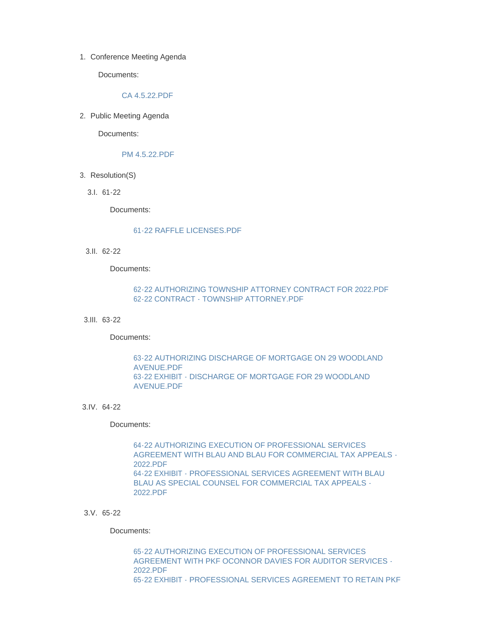1. Conference Meeting Agenda

Documents:

# [CA 4.5.22.PDF](http://www.westorange.org/AgendaCenter/ViewFile/Item/4651?fileID=14505)

2. Public Meeting Agenda

Documents:

# [PM 4.5.22.PDF](http://www.westorange.org/AgendaCenter/ViewFile/Item/4650?fileID=14518)

- 3. Resolution(S)
	- 61-22 3.I.

Documents:

## [61-22 RAFFLE LICENSES.PDF](http://www.westorange.org/AgendaCenter/ViewFile/Item/4605?fileID=14428)

62-22 3.II.

Documents:

# [62-22 AUTHORIZING TOWNSHIP ATTORNEY CONTRACT FOR 2022.PDF](http://www.westorange.org/AgendaCenter/ViewFile/Item/4606?fileID=14430) [62-22 CONTRACT - TOWNSHIP ATTORNEY.PDF](http://www.westorange.org/AgendaCenter/ViewFile/Item/4606?fileID=14429)

63-22 3.III.

Documents:

# [63-22 AUTHORIZING DISCHARGE OF MORTGAGE ON 29 WOODLAND](http://www.westorange.org/AgendaCenter/ViewFile/Item/4607?fileID=14432)  AVENUE.PDF [63-22 EXHIBIT - DISCHARGE OF MORTGAGE FOR 29 WOODLAND](http://www.westorange.org/AgendaCenter/ViewFile/Item/4607?fileID=14431)  AVENUE.PDF

64-22 3.IV.

Documents:

64-22 AUTHORIZING EXECUTION OF PROFESSIONAL SERVICES [AGREEMENT WITH BLAU AND BLAU FOR COMMERCIAL TAX APPEALS -](http://www.westorange.org/AgendaCenter/ViewFile/Item/4608?fileID=14434) 2022.PDF [64-22 EXHIBIT - PROFESSIONAL SERVICES AGREEMENT WITH BLAU](http://www.westorange.org/AgendaCenter/ViewFile/Item/4608?fileID=14433)  BLAU AS SPECIAL COUNSEL FOR COMMERCIAL TAX APPEALS - 2022.PDF

#### 65-22 3.V.

Documents:

65-22 AUTHORIZING EXECUTION OF PROFESSIONAL SERVICES [AGREEMENT WITH PKF OCONNOR DAVIES FOR AUDITOR SERVICES -](http://www.westorange.org/AgendaCenter/ViewFile/Item/4609?fileID=14436) 2022.PDF [65-22 EXHIBIT - PROFESSIONAL SERVICES AGREEMENT TO RETAIN PKF](http://www.westorange.org/AgendaCenter/ViewFile/Item/4609?fileID=14435)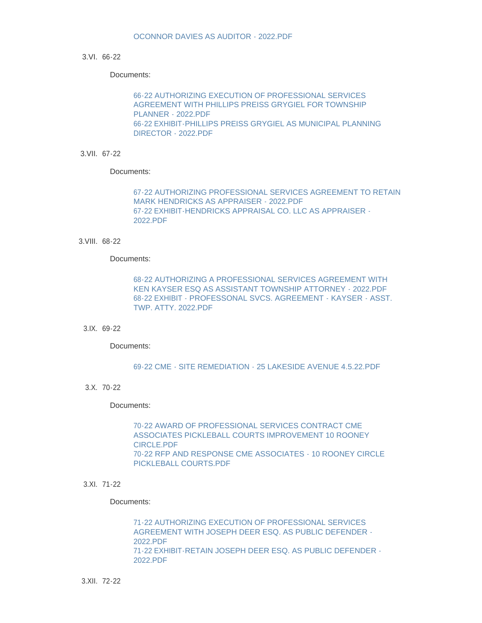### 66-22 3.VI.

Documents:

66-22 AUTHORIZING EXECUTION OF PROFESSIONAL SERVICES [AGREEMENT WITH PHILLIPS PREISS GRYGIEL FOR TOWNSHIP](http://www.westorange.org/AgendaCenter/ViewFile/Item/4610?fileID=14438)  PLANNER - 2022.PDF [66-22 EXHIBIT-PHILLIPS PREISS GRYGIEL AS MUNICIPAL PLANNING](http://www.westorange.org/AgendaCenter/ViewFile/Item/4610?fileID=14437)  DIRECTOR - 2022.PDF

67-22 3.VII.

Documents:

[67-22 AUTHORIZING PROFESSIONAL SERVICES AGREEMENT TO RETAIN](http://www.westorange.org/AgendaCenter/ViewFile/Item/4611?fileID=14440)  MARK HENDRICKS AS APPRAISER - 2022.PDF [67-22 EXHIBIT-HENDRICKS APPRAISAL CO. LLC AS APPRAISER -](http://www.westorange.org/AgendaCenter/ViewFile/Item/4611?fileID=14439) 2022.PDF

68-22 3.VIII.

## Documents:

[68-22 AUTHORIZING A PROFESSIONAL SERVICES AGREEMENT WITH](http://www.westorange.org/AgendaCenter/ViewFile/Item/4612?fileID=14441)  KEN KAYSER ESQ AS ASSISTANT TOWNSHIP ATTORNEY - 2022.PDF [68-22 EXHIBIT - PROFESSONAL SVCS. AGREEMENT - KAYSER - ASST.](http://www.westorange.org/AgendaCenter/ViewFile/Item/4612?fileID=14442)  TWP. ATTY. 2022.PDF

# 69-22 3.IX.

Documents:

[69-22 CME - SITE REMEDIATION - 25 LAKESIDE AVENUE 4.5.22.PDF](http://www.westorange.org/AgendaCenter/ViewFile/Item/4613?fileID=14443)

70-22 3.X.

Documents:

70-22 AWARD OF PROFESSIONAL SERVICES CONTRACT CME [ASSOCIATES PICKLEBALL COURTS IMPROVEMENT 10 ROONEY](http://www.westorange.org/AgendaCenter/ViewFile/Item/4614?fileID=14445)  CIRCLE.PDF [70-22 RFP AND RESPONSE CME ASSOCIATES - 10 ROONEY CIRCLE](http://www.westorange.org/AgendaCenter/ViewFile/Item/4614?fileID=14444)  PICKLEBALL COURTS.PDF

## 71-22 3.XI.

Documents:

71-22 AUTHORIZING EXECUTION OF PROFESSIONAL SERVICES [AGREEMENT WITH JOSEPH DEER ESQ. AS PUBLIC DEFENDER -](http://www.westorange.org/AgendaCenter/ViewFile/Item/4615?fileID=14447) 2022.PDF [71-22 EXHIBIT-RETAIN JOSEPH DEER ESQ. AS PUBLIC DEFENDER -](http://www.westorange.org/AgendaCenter/ViewFile/Item/4615?fileID=14446) 2022.PDF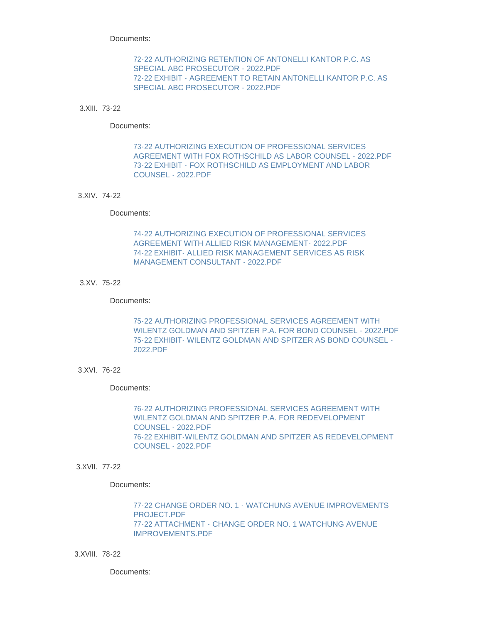Documents:

# [72-22 AUTHORIZING RETENTION OF ANTONELLI KANTOR P.C. AS](http://www.westorange.org/AgendaCenter/ViewFile/Item/4616?fileID=14449)  SPECIAL ABC PROSECUTOR - 2022.PDF [72-22 EXHIBIT - AGREEMENT TO RETAIN ANTONELLI KANTOR P.C. AS](http://www.westorange.org/AgendaCenter/ViewFile/Item/4616?fileID=14448)  SPECIAL ABC PROSECUTOR - 2022.PDF

### 73-22 3.XIII.

#### Documents:

73-22 AUTHORIZING EXECUTION OF PROFESSIONAL SERVICES [AGREEMENT WITH FOX ROTHSCHILD AS LABOR COUNSEL - 2022.PDF](http://www.westorange.org/AgendaCenter/ViewFile/Item/4617?fileID=14450) [73-22 EXHIBIT - FOX ROTHSCHILD AS EMPLOYMENT AND LABOR](http://www.westorange.org/AgendaCenter/ViewFile/Item/4617?fileID=14451)  COUNSEL - 2022.PDF

### 74-22 3.XIV.

#### Documents:

[74-22 AUTHORIZING EXECUTION OF PROFESSIONAL SERVICES](http://www.westorange.org/AgendaCenter/ViewFile/Item/4618?fileID=14453)  AGREEMENT WITH ALLIED RISK MANAGEMENT- 2022.PDF [74-22 EXHIBIT- ALLIED RISK MANAGEMENT SERVICES AS RISK](http://www.westorange.org/AgendaCenter/ViewFile/Item/4618?fileID=14452)  MANAGEMENT CONSULTANT - 2022.PDF

### 75-22 3.XV.

#### Documents:

75-22 AUTHORIZING PROFESSIONAL SERVICES AGREEMENT WITH [WILENTZ GOLDMAN AND SPITZER P.A. FOR BOND COUNSEL - 2022.PDF](http://www.westorange.org/AgendaCenter/ViewFile/Item/4619?fileID=14455) [75-22 EXHIBIT- WILENTZ GOLDMAN AND SPITZER AS BOND COUNSEL -](http://www.westorange.org/AgendaCenter/ViewFile/Item/4619?fileID=14454) 2022.PDF

## 76-22 3.XVI.

#### Documents:

[76-22 AUTHORIZING PROFESSIONAL SERVICES AGREEMENT WITH](http://www.westorange.org/AgendaCenter/ViewFile/Item/4620?fileID=14457)  WILENTZ GOLDMAN AND SPITZER P.A. FOR REDEVELOPMENT COUNSEL - 2022.PDF [76-22 EXHIBIT-WILENTZ GOLDMAN AND SPITZER AS REDEVELOPMENT](http://www.westorange.org/AgendaCenter/ViewFile/Item/4620?fileID=14456)  COUNSEL - 2022.PDF

## 3.XVII. 77-22

Documents:

[77-22 CHANGE ORDER NO. 1 - WATCHUNG AVENUE IMPROVEMENTS](http://www.westorange.org/AgendaCenter/ViewFile/Item/4621?fileID=14458)  PROJECT.PDF [77-22 ATTACHMENT - CHANGE ORDER NO. 1 WATCHUNG AVENUE](http://www.westorange.org/AgendaCenter/ViewFile/Item/4621?fileID=14459)  IMPROVEMENTS.PDF

78-22 3.XVIII.

Documents: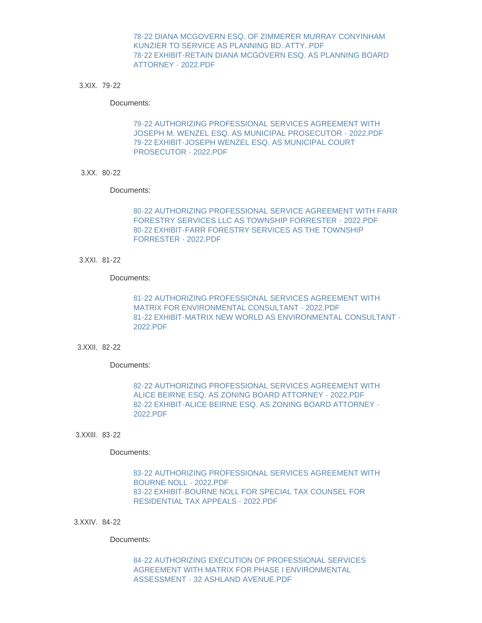[78-22 DIANA MCGOVERN ESQ. OF ZIMMERER MURRAY CONYINHAM](http://www.westorange.org/AgendaCenter/ViewFile/Item/4622?fileID=14461)  KUNZIER TO SERVICE AS PLANNING BD. ATTY..PDF [78-22 EXHIBIT-RETAIN DIANA MCGOVERN ESQ. AS PLANNING BOARD](http://www.westorange.org/AgendaCenter/ViewFile/Item/4622?fileID=14460)  ATTORNEY - 2022.PDF

79-22 3.XIX.

Documents:

79-22 AUTHORIZING PROFESSIONAL SERVICES AGREEMENT WITH [JOSEPH M. WENZEL ESQ. AS MUNICIPAL PROSECUTOR - 2022.PDF](http://www.westorange.org/AgendaCenter/ViewFile/Item/4623?fileID=14463) [79-22 EXHIBIT-JOSEPH WENZEL ESQ. AS MUNICIPAL COURT](http://www.westorange.org/AgendaCenter/ViewFile/Item/4623?fileID=14462)  PROSECUTOR - 2022.PDF

80-22 3.XX.

Documents:

[80-22 AUTHORIZING PROFESSIONAL SERVICE AGREEMENT WITH FARR](http://www.westorange.org/AgendaCenter/ViewFile/Item/4624?fileID=14465)  FORESTRY SERVICES LLC AS TOWNSHIP FORRESTER - 2022.PDF [80-22 EXHIBIT-FARR FORESTRY SERVICES AS THE TOWNSHIP](http://www.westorange.org/AgendaCenter/ViewFile/Item/4624?fileID=14464)  FORRESTER - 2022.PDF

81-22 3.XXI.

Documents:

[81-22 AUTHORIZING PROFESSIONAL SERVICES AGREEMENT WITH](http://www.westorange.org/AgendaCenter/ViewFile/Item/4625?fileID=14467)  MATRIX FOR ENVIRONMENTAL CONSULTANT - 2022.PDF [81-22 EXHIBIT-MATRIX NEW WORLD AS ENVIRONMENTAL CONSULTANT -](http://www.westorange.org/AgendaCenter/ViewFile/Item/4625?fileID=14466) 2022.PDF

82-22 3.XXII.

Documents:

[82-22 AUTHORIZING PROFESSIONAL SERVICES AGREEMENT WITH](http://www.westorange.org/AgendaCenter/ViewFile/Item/4626?fileID=14469)  ALICE BEIRNE ESQ. AS ZONING BOARD ATTORNEY - 2022.PDF [82-22 EXHIBIT-ALICE BEIRNE ESQ. AS ZONING BOARD ATTORNEY -](http://www.westorange.org/AgendaCenter/ViewFile/Item/4626?fileID=14468) 2022.PDF

83-22 3.XXIII.

Documents:

[83-22 AUTHORIZING PROFESSIONAL SERVICES AGREEMENT WITH](http://www.westorange.org/AgendaCenter/ViewFile/Item/4627?fileID=14471)  BOURNE NOLL - 2022.PDF [83-22 EXHIBIT-BOURNE NOLL FOR SPECIAL TAX COUNSEL FOR](http://www.westorange.org/AgendaCenter/ViewFile/Item/4627?fileID=14470)  RESIDENTIAL TAX APPEALS - 2022.PDF

84-22 3.XXIV.

Documents:

[84-22 AUTHORIZING EXECUTION OF PROFESSIONAL SERVICES](http://www.westorange.org/AgendaCenter/ViewFile/Item/4628?fileID=14472)  AGREEMENT WITH MATRIX FOR PHASE I ENVIRONMENTAL ASSESSMENT - 32 ASHLAND AVENUE.PDF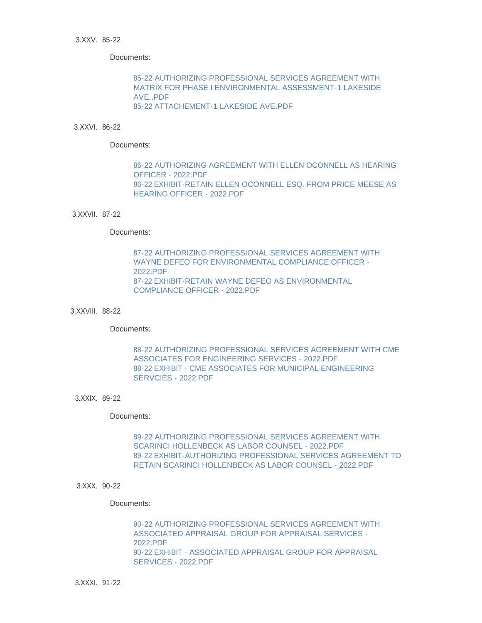#### 85-22 3.XXV.

Documents:

85-22 AUTHORIZING PROFESSIONAL SERVICES AGREEMENT WITH [MATRIX FOR PHASE I ENVIRONMENTAL ASSESSMENT-1 LAKESIDE](http://www.westorange.org/AgendaCenter/ViewFile/Item/4652?fileID=14514)  AVE..PDF [85-22 ATTACHEMENT-1 LAKESIDE AVE.PDF](http://www.westorange.org/AgendaCenter/ViewFile/Item/4652?fileID=14516)

# 86-22 3.XXVI.

Documents:

[86-22 AUTHORIZING AGREEMENT WITH ELLEN OCONNELL AS HEARING](http://www.westorange.org/AgendaCenter/ViewFile/Item/4630?fileID=14475)  OFFICER - 2022.PDF [86-22 EXHIBIT-RETAIN ELLEN OCONNELL ESQ. FROM PRICE MEESE AS](http://www.westorange.org/AgendaCenter/ViewFile/Item/4630?fileID=14474)  HEARING OFFICER - 2022.PDF

## 3.XXVII. 87-22

#### Documents:

[87-22 AUTHORIZING PROFESSIONAL SERVICES AGREEMENT WITH](http://www.westorange.org/AgendaCenter/ViewFile/Item/4631?fileID=14477)  WAYNE DEFEO FOR ENVIRONMENTAL COMPLIANCE OFFICER - 2022.PDF [87-22 EXHIBIT-RETAIN WAYNE DEFEO AS ENVIRONMENTAL](http://www.westorange.org/AgendaCenter/ViewFile/Item/4631?fileID=14476)  COMPLIANCE OFFICER - 2022.PDF

#### 88-22 3.XXVIII.

Documents:

[88-22 AUTHORIZING PROFESSIONAL SERVICES AGREEMENT WITH CME](http://www.westorange.org/AgendaCenter/ViewFile/Item/4632?fileID=14479)  ASSOCIATES FOR ENGINEERING SERVICES - 2022.PDF [88-22 EXHIBIT - CME ASSOCIATES FOR MUNICIPAL ENGINEERING](http://www.westorange.org/AgendaCenter/ViewFile/Item/4632?fileID=14478)  SERVCIES - 2022.PDF

#### 89-22 3.XXIX.

# Documents:

[89-22 AUTHORIZING PROFESSIONAL SERVICES AGREEMENT WITH](http://www.westorange.org/AgendaCenter/ViewFile/Item/4633?fileID=14481)  SCARINCI HOLLENBECK AS LABOR COUNSEL - 2022.PDF [89-22 EXHIBIT-AUTHORIZING PROFESSIONAL SERVICES AGREEMENT TO](http://www.westorange.org/AgendaCenter/ViewFile/Item/4633?fileID=14480)  RETAIN SCARINCI HOLLENBECK AS LABOR COUNSEL - 2022.PDF

#### 3.XXX. 90-22

### Documents:

[90-22 AUTHORIZING PROFESSIONAL SERVICES AGREEMENT WITH](http://www.westorange.org/AgendaCenter/ViewFile/Item/4634?fileID=14483)  ASSOCIATED APPRAISAL GROUP FOR APPRAISAL SERVICES - 2022.PDF [90-22 EXHIBIT - ASSOCIATED APPRAISAL GROUP FOR APPRAISAL](http://www.westorange.org/AgendaCenter/ViewFile/Item/4634?fileID=14482)  SERVICES - 2022.PDF

91-22 3.XXXI.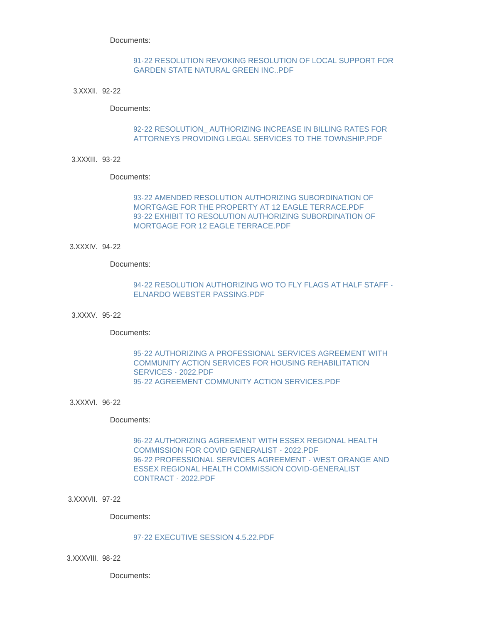Documents:

# [91-22 RESOLUTION REVOKING RESOLUTION OF LOCAL SUPPORT FOR](http://www.westorange.org/AgendaCenter/ViewFile/Item/4635?fileID=14484)  GARDEN STATE NATURAL GREEN INC..PDF

92-22 3.XXXII.

Documents:

# [92-22 RESOLUTION\\_ AUTHORIZING INCREASE IN BILLING RATES FOR](http://www.westorange.org/AgendaCenter/ViewFile/Item/4636?fileID=14485)  ATTORNEYS PROVIDING LEGAL SERVICES TO THE TOWNSHIP.PDF

93-22 3.XXXIII.

Documents:

[93-22 AMENDED RESOLUTION AUTHORIZING SUBORDINATION OF](http://www.westorange.org/AgendaCenter/ViewFile/Item/4637?fileID=14487)  MORTGAGE FOR THE PROPERTY AT 12 EAGLE TERRACE.PDF [93-22 EXHIBIT TO RESOLUTION AUTHORIZING SUBORDINATION OF](http://www.westorange.org/AgendaCenter/ViewFile/Item/4637?fileID=14486)  MORTGAGE FOR 12 EAGLE TERRACE.PDF

94-22 3.XXXIV.

Documents:

# [94-22 RESOLUTION AUTHORIZING WO TO FLY FLAGS AT HALF STAFF -](http://www.westorange.org/AgendaCenter/ViewFile/Item/4638?fileID=14488) ELNARDO WEBSTER PASSING.PDF

95-22 3.XXXV.

Documents:

[95-22 AUTHORIZING A PROFESSIONAL SERVICES AGREEMENT WITH](http://www.westorange.org/AgendaCenter/ViewFile/Item/4639?fileID=14502)  COMMUNITY ACTION SERVICES FOR HOUSING REHABILITATION SERVICES - 2022.PDF [95-22 AGREEMENT COMMUNITY ACTION SERVICES.PDF](http://www.westorange.org/AgendaCenter/ViewFile/Item/4639?fileID=14503)

96-22 3.XXXVI.

Documents:

[96-22 AUTHORIZING AGREEMENT WITH ESSEX REGIONAL HEALTH](http://www.westorange.org/AgendaCenter/ViewFile/Item/4640?fileID=14490)  COMMISSION FOR COVID GENERALIST - 2022.PDF [96-22 PROFESSIONAL SERVICES AGREEMENT - WEST ORANGE AND](http://www.westorange.org/AgendaCenter/ViewFile/Item/4640?fileID=14489)  ESSEX REGIONAL HEALTH COMMISSION COVID-GENERALIST CONTRACT - 2022.PDF

3.XXXVII. 97-22

Documents:

## [97-22 EXECUTIVE SESSION 4.5.22.PDF](http://www.westorange.org/AgendaCenter/ViewFile/Item/4641?fileID=14491)

98-22 3.XXXVIII.

Documents: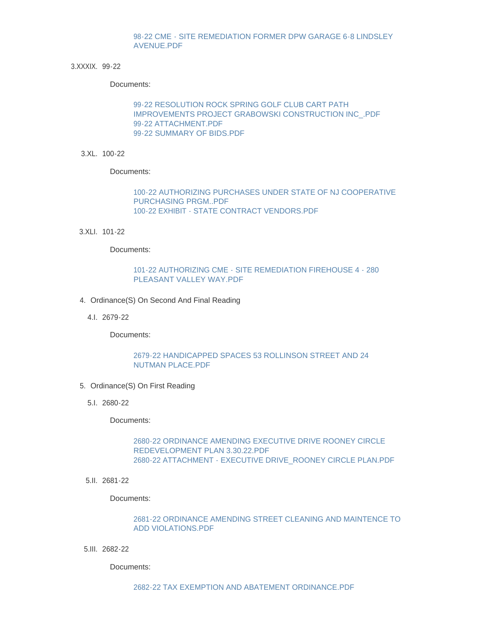# [98-22 CME - SITE REMEDIATION FORMER DPW GARAGE 6-8 LINDSLEY](http://www.westorange.org/AgendaCenter/ViewFile/Item/4642?fileID=14492)  AVENUE.PDF

3.XXXIX. 99-22

Documents:

99-22 RESOLUTION ROCK SPRING GOLF CLUB CART PATH [IMPROVEMENTS PROJECT GRABOWSKI CONSTRUCTION INC\\_.PDF](http://www.westorange.org/AgendaCenter/ViewFile/Item/4643?fileID=14969) [99-22 ATTACHMENT.PDF](http://www.westorange.org/AgendaCenter/ViewFile/Item/4643?fileID=14970) [99-22 SUMMARY OF BIDS.PDF](http://www.westorange.org/AgendaCenter/ViewFile/Item/4643?fileID=14968)

100-22 3.XL.

Documents:

[100-22 AUTHORIZING PURCHASES UNDER STATE OF NJ COOPERATIVE](http://www.westorange.org/AgendaCenter/ViewFile/Item/4649?fileID=14500)  PURCHASING PRGM..PDF [100-22 EXHIBIT - STATE CONTRACT VENDORS.PDF](http://www.westorange.org/AgendaCenter/ViewFile/Item/4649?fileID=14499)

101-22 3.XLI.

Documents:

# [101-22 AUTHORIZING CME - SITE REMEDIATION FIREHOUSE 4 - 280](http://www.westorange.org/AgendaCenter/ViewFile/Item/4653?fileID=14517)  PLEASANT VALLEY WAY.PDF

- 4. Ordinance(S) On Second And Final Reading
	- 2679-22 4.I.

Documents:

# [2679-22 HANDICAPPED SPACES 53 ROLLINSON STREET AND 24](http://www.westorange.org/AgendaCenter/ViewFile/Item/4644?fileID=14493)  NUTMAN PLACE.PDF

- 5. Ordinance(S) On First Reading
	- 2680-22 5.I.

Documents:

# [2680-22 ORDINANCE AMENDING EXECUTIVE DRIVE ROONEY CIRCLE](http://www.westorange.org/AgendaCenter/ViewFile/Item/4645?fileID=14495)  REDEVELOPMENT PLAN 3.30.22.PDF [2680-22 ATTACHMENT - EXECUTIVE DRIVE\\_ROONEY CIRCLE PLAN.PDF](http://www.westorange.org/AgendaCenter/ViewFile/Item/4645?fileID=14494)

2681-22 5.II.

Documents:

# [2681-22 ORDINANCE AMENDING STREET CLEANING AND MAINTENCE TO](http://www.westorange.org/AgendaCenter/ViewFile/Item/4646?fileID=14496)  ADD VIOLATIONS.PDF

2682-22 5.III.

Documents: